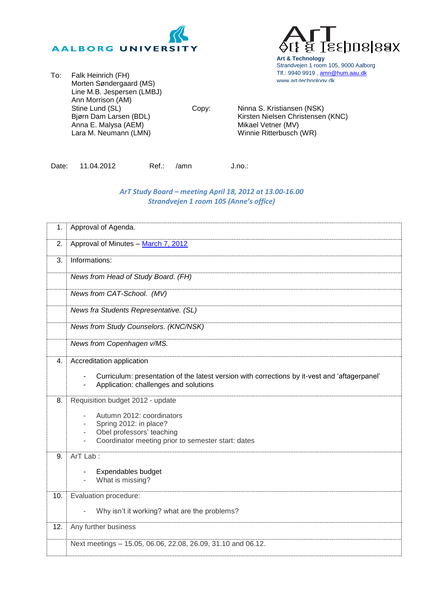



Copy: Ninna S. Kristiansen (NSK) Kirsten Nielsen Christensen (KNC) Mikael Vetner (MV) Winnie Ritterbusch (WR)

**Art & Technology**

www.art-technology.dk

Strandvejen 1 room 105, 9000 Aalborg Tlf.: 9940 9919, [amn@hum.aau.dk](mailto:amn@hum.aau.dk)

**s**sposlaax

Date: 11.04.2012 Ref.: /amn J.no.:

## *ArT Study Board – meeting April 18, 2012 at 13.00-16.00 Strandvejen 1 room 105 (Anne's office)*

| 1.  | Approval of Agenda.                                                                                                                                                                   |
|-----|---------------------------------------------------------------------------------------------------------------------------------------------------------------------------------------|
| 2.  | Approval of Minutes - March 7, 2012                                                                                                                                                   |
| 3.  | Informations:                                                                                                                                                                         |
|     | News from Head of Study Board. (FH)                                                                                                                                                   |
|     | News from CAT-School. (MV)                                                                                                                                                            |
|     | News fra Students Representative. (SL)                                                                                                                                                |
|     | News from Study Counselors. (KNC/NSK)                                                                                                                                                 |
|     | News from Copenhagen v/MS.                                                                                                                                                            |
| 4.  | Accreditation application<br>Curriculum: presentation of the latest version with corrections by it-vest and 'aftagerpanel'<br>Application: challenges and solutions<br>$\blacksquare$ |
| 8.  | Requisition budget 2012 - update<br>Autumn 2012: coordinators<br>Spring 2012: in place?<br>Obel professors' teaching<br>Coordinator meeting prior to semester start: dates            |
| 9.  | ArT Lab:<br>Expendables budget<br>What is missing?                                                                                                                                    |
| 10. | Evaluation procedure:                                                                                                                                                                 |
|     | Why isn't it working? what are the problems?                                                                                                                                          |
| 12. | Any further business                                                                                                                                                                  |
|     | Next meetings - 15.05, 06.06, 22.08, 26.09, 31.10 and 06.12.                                                                                                                          |